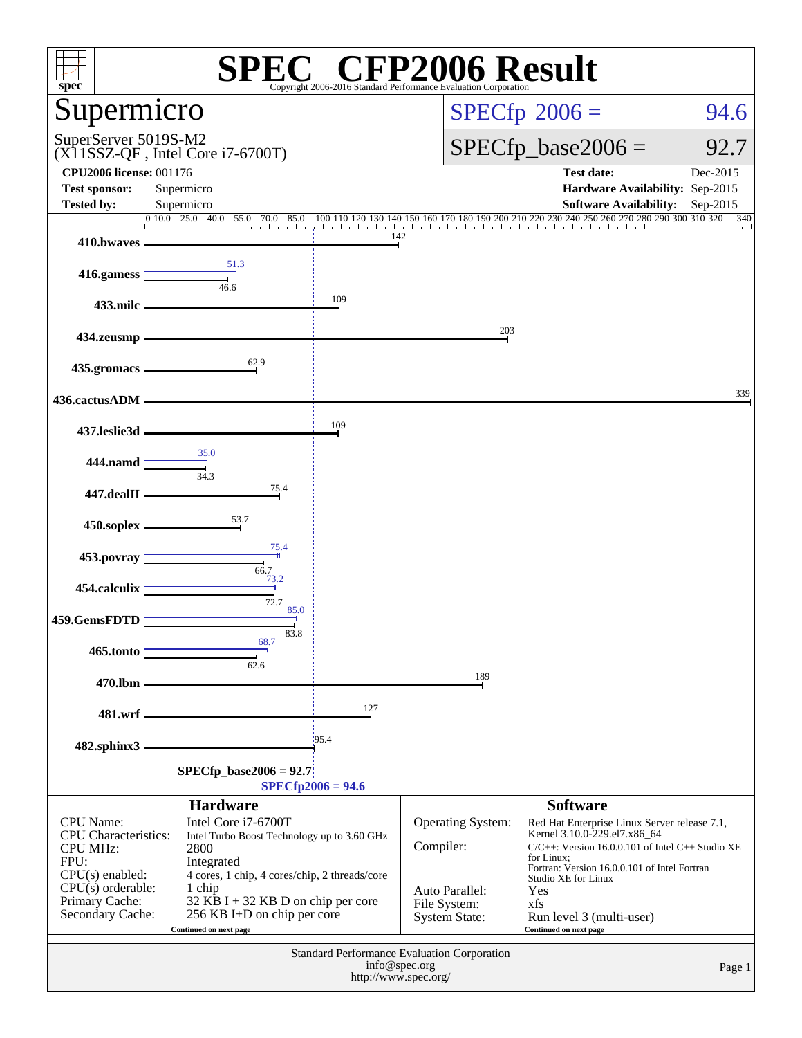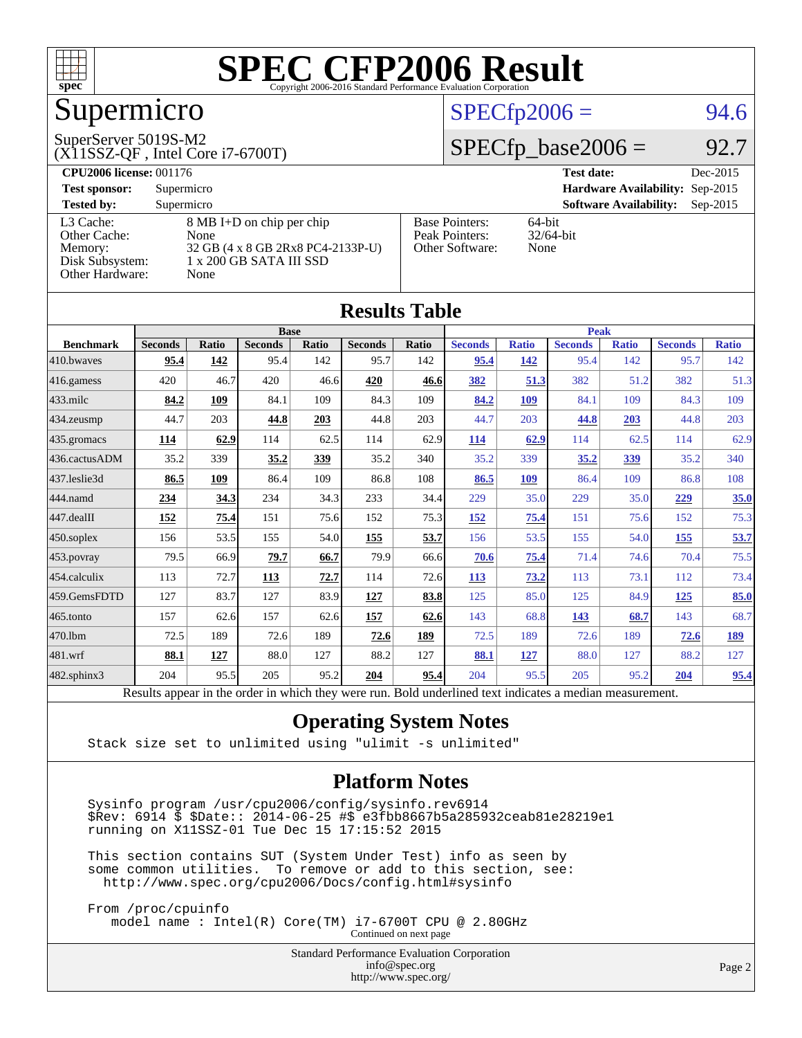

## Supermicro

#### SuperServer 5019S-M2

(X11SSZ-QF , Intel Core i7-6700T)

#### $SPECfp2006 = 94.6$  $SPECfp2006 = 94.6$

#### $SPECTp\_base2006 = 92.7$

| <b>CPU2006 license: 001176</b> |                                   |                       | <b>Test date:</b><br>Dec-2015               |
|--------------------------------|-----------------------------------|-----------------------|---------------------------------------------|
| <b>Test sponsor:</b>           | Supermicro                        |                       | Hardware Availability: Sep-2015             |
| <b>Tested by:</b>              | Supermicro                        |                       | <b>Software Availability:</b><br>$Sep-2015$ |
| L3 Cache:                      | 8 MB I+D on chip per chip         | <b>Base Pointers:</b> | $64$ -bit                                   |
| Other Cache:                   | None                              | Peak Pointers:        | $32/64$ -bit                                |
| Memory:                        | 32 GB (4 x 8 GB 2Rx8 PC4-2133P-U) | Other Software:       | None                                        |
| Disk Subsystem:                | 1 x 200 GB SATA III SSD           |                       |                                             |
| Other Hardware:                | None                              |                       |                                             |

**[Results Table](http://www.spec.org/auto/cpu2006/Docs/result-fields.html#ResultsTable)**

| Results Tadie    |                                                                                                          |       |                |       |                |             |                |              |                |              |                |              |
|------------------|----------------------------------------------------------------------------------------------------------|-------|----------------|-------|----------------|-------------|----------------|--------------|----------------|--------------|----------------|--------------|
|                  |                                                                                                          |       | <b>Base</b>    |       |                | <b>Peak</b> |                |              |                |              |                |              |
| <b>Benchmark</b> | <b>Seconds</b>                                                                                           | Ratio | <b>Seconds</b> | Ratio | <b>Seconds</b> | Ratio       | <b>Seconds</b> | <b>Ratio</b> | <b>Seconds</b> | <b>Ratio</b> | <b>Seconds</b> | <b>Ratio</b> |
| 410.bwaves       | 95.4                                                                                                     | 142   | 95.4           | 142   | 95.7           | 142         | 95.4           | 142          | 95.4           | 142          | 95.7           | 142          |
| $416$ .gamess    | 420                                                                                                      | 46.7  | 420            | 46.6  | 420            | 46.6        | 382            | 51.3         | 382            | 51.2         | 382            | 51.3         |
| $433$ .milc      | 84.2                                                                                                     | 109   | 84.1           | 109   | 84.3           | 109         | 84.2           | 109          | 84.1           | 109          | 84.3           | 109          |
| 434.zeusmp       | 44.7                                                                                                     | 203   | 44.8           | 203   | 44.8           | 203         | 44.7           | 203          | 44.8           | 203          | 44.8           | 203          |
| 435.gromacs      | 114                                                                                                      | 62.9  | 114            | 62.5  | 114            | 62.9        | 114            | 62.9         | 114            | 62.5         | 114            | 62.9         |
| 436.cactusADM    | 35.2                                                                                                     | 339   | 35.2           | 339   | 35.2           | 340         | 35.2           | 339          | 35.2           | 339          | 35.2           | 340          |
| 437.leslie3d     | 86.5                                                                                                     | 109   | 86.4           | 109   | 86.8           | 108         | 86.5           | 109          | 86.4           | 109          | 86.8           | 108          |
| 444.namd         | 234                                                                                                      | 34.3  | 234            | 34.3  | 233            | 34.4        | 229            | 35.0         | 229            | 35.0         | 229            | 35.0         |
| 447.dealII       | 152                                                                                                      | 75.4  | 151            | 75.6  | 152            | 75.3        | 152            | 75.4         | 151            | 75.6         | 152            | 75.3         |
| $450$ .soplex    | 156                                                                                                      | 53.5  | 155            | 54.0  | 155            | 53.7        | 156            | 53.5         | 155            | 54.0         | 155            | 53.7         |
| 453.povray       | 79.5                                                                                                     | 66.9  | 79.7           | 66.7  | 79.9           | 66.6        | 70.6           | 75.4         | 71.4           | 74.6         | 70.4           | 75.5         |
| 454.calculix     | 113                                                                                                      | 72.7  | 113            | 72.7  | 114            | 72.6        | 113            | 73.2         | 113            | 73.1         | 112            | 73.4         |
| 459.GemsFDTD     | 127                                                                                                      | 83.7  | 127            | 83.9  | 127            | 83.8        | 125            | 85.0         | 125            | 84.9         | 125            | 85.0         |
| 465.tonto        | 157                                                                                                      | 62.6  | 157            | 62.6  | 157            | 62.6        | 143            | 68.8         | <u>143</u>     | 68.7         | 143            | 68.7         |
| 470.1bm          | 72.5                                                                                                     | 189   | 72.6           | 189   | 72.6           | 189         | 72.5           | 189          | 72.6           | 189          | 72.6           | 189          |
| 481.wrf          | 88.1                                                                                                     | 127   | 88.0           | 127   | 88.2           | 127         | 88.1           | 127          | 88.0           | 127          | 88.2           | 127          |
| 482.sphinx3      | 204                                                                                                      | 95.5  | 205            | 95.2  | 204            | 95.4        | 204            | 95.5         | 205            | 95.2         | 204            | 95.4         |
|                  | Results appear in the order in which they were run. Bold underlined text indicates a median measurement. |       |                |       |                |             |                |              |                |              |                |              |

#### **[Operating System Notes](http://www.spec.org/auto/cpu2006/Docs/result-fields.html#OperatingSystemNotes)**

Stack size set to unlimited using "ulimit -s unlimited"

#### **[Platform Notes](http://www.spec.org/auto/cpu2006/Docs/result-fields.html#PlatformNotes)**

 Sysinfo program /usr/cpu2006/config/sysinfo.rev6914 \$Rev: 6914 \$ \$Date:: 2014-06-25 #\$ e3fbb8667b5a285932ceab81e28219e1 running on X11SSZ-01 Tue Dec 15 17:15:52 2015

 This section contains SUT (System Under Test) info as seen by some common utilities. To remove or add to this section, see: <http://www.spec.org/cpu2006/Docs/config.html#sysinfo>

 From /proc/cpuinfo model name : Intel(R) Core(TM) i7-6700T CPU @ 2.80GHz Continued on next page

> Standard Performance Evaluation Corporation [info@spec.org](mailto:info@spec.org) <http://www.spec.org/>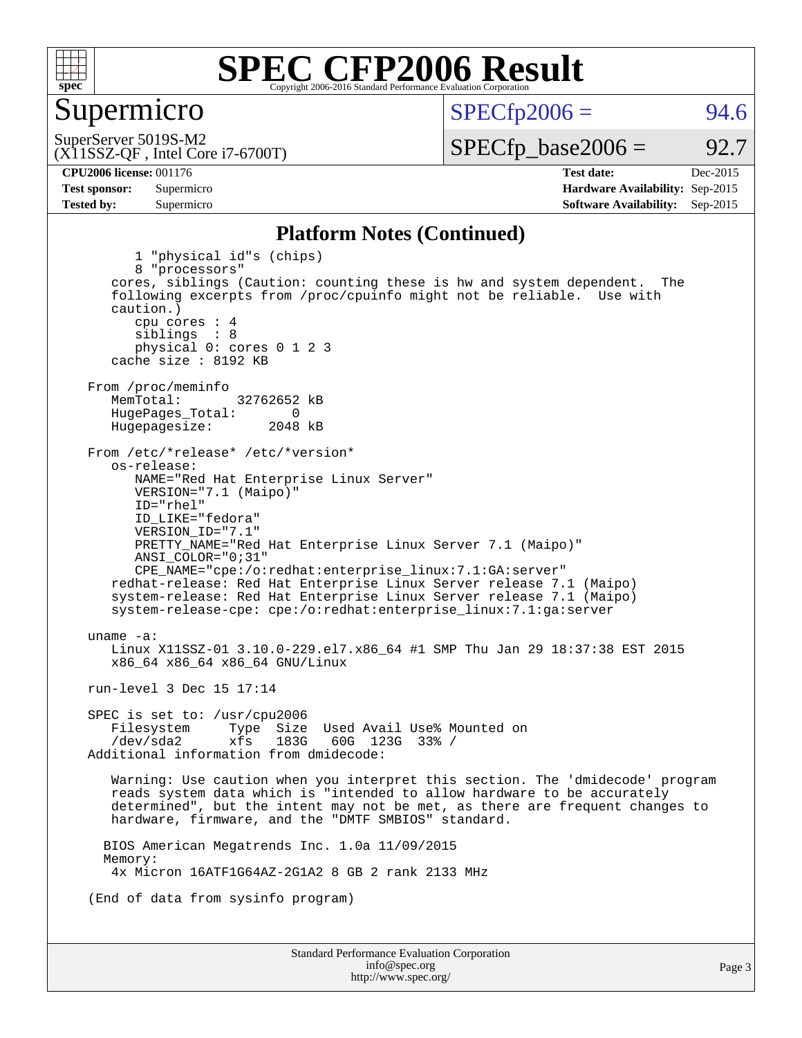

#### Supermicro

 $SPECTp2006 = 94.6$ 

(X11SSZ-QF , Intel Core i7-6700T) SuperServer 5019S-M2

 $SPECTp\_base2006 = 92.7$ 

**[CPU2006 license:](http://www.spec.org/auto/cpu2006/Docs/result-fields.html#CPU2006license)** 001176 **[Test date:](http://www.spec.org/auto/cpu2006/Docs/result-fields.html#Testdate)** Dec-2015 **[Test sponsor:](http://www.spec.org/auto/cpu2006/Docs/result-fields.html#Testsponsor)** Supermicro **[Hardware Availability:](http://www.spec.org/auto/cpu2006/Docs/result-fields.html#HardwareAvailability)** Sep-2015 **[Tested by:](http://www.spec.org/auto/cpu2006/Docs/result-fields.html#Testedby)** Supermicro **Supermicro [Software Availability:](http://www.spec.org/auto/cpu2006/Docs/result-fields.html#SoftwareAvailability)** Sep-2015

#### **[Platform Notes \(Continued\)](http://www.spec.org/auto/cpu2006/Docs/result-fields.html#PlatformNotes)**

Standard Performance Evaluation Corporation [info@spec.org](mailto:info@spec.org) 1 "physical id"s (chips) 8 "processors" cores, siblings (Caution: counting these is hw and system dependent. The following excerpts from /proc/cpuinfo might not be reliable. Use with caution.) cpu cores : 4 siblings : 8 physical 0: cores 0 1 2 3 cache size : 8192 KB From /proc/meminfo<br>MemTotal: 32762652 kB HugePages\_Total: 0<br>Hugepagesize: 2048 kB Hugepagesize: From /etc/\*release\* /etc/\*version\* os-release: NAME="Red Hat Enterprise Linux Server" VERSION="7.1 (Maipo)" ID="rhel" ID\_LIKE="fedora" VERSION\_ID="7.1" PRETTY\_NAME="Red Hat Enterprise Linux Server 7.1 (Maipo)" ANSI\_COLOR="0;31" CPE\_NAME="cpe:/o:redhat:enterprise\_linux:7.1:GA:server" redhat-release: Red Hat Enterprise Linux Server release 7.1 (Maipo) system-release: Red Hat Enterprise Linux Server release 7.1 (Maipo) system-release-cpe: cpe:/o:redhat:enterprise\_linux:7.1:ga:server uname -a: Linux X11SSZ-01 3.10.0-229.el7.x86\_64 #1 SMP Thu Jan 29 18:37:38 EST 2015 x86\_64 x86\_64 x86\_64 GNU/Linux run-level 3 Dec 15 17:14 SPEC is set to: /usr/cpu2006 Filesystem Type Size Used Avail Use% Mounted on<br>
/dev/sda2 xfs 183G 60G 123G 33% /  $60G$  123G 33% / Additional information from dmidecode: Warning: Use caution when you interpret this section. The 'dmidecode' program reads system data which is "intended to allow hardware to be accurately determined", but the intent may not be met, as there are frequent changes to hardware, firmware, and the "DMTF SMBIOS" standard. BIOS American Megatrends Inc. 1.0a 11/09/2015 Memory: 4x Micron 16ATF1G64AZ-2G1A2 8 GB 2 rank 2133 MHz (End of data from sysinfo program)

<http://www.spec.org/>

Page 3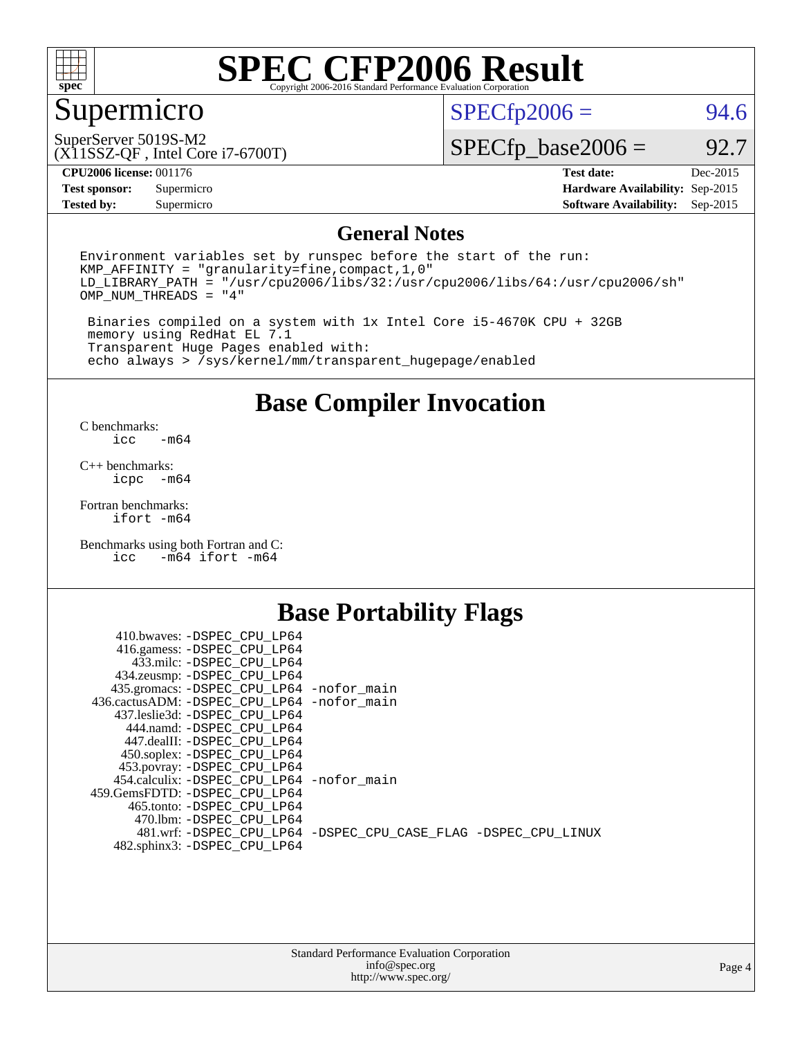

## Supermicro

 $SPECfp2006 = 94.6$  $SPECfp2006 = 94.6$ 

(X11SSZ-QF , Intel Core i7-6700T) SuperServer 5019S-M2

 $SPECfp\_base2006 = 92.7$ 

**[CPU2006 license:](http://www.spec.org/auto/cpu2006/Docs/result-fields.html#CPU2006license)** 001176 **[Test date:](http://www.spec.org/auto/cpu2006/Docs/result-fields.html#Testdate)** Dec-2015

**[Test sponsor:](http://www.spec.org/auto/cpu2006/Docs/result-fields.html#Testsponsor)** Supermicro **[Hardware Availability:](http://www.spec.org/auto/cpu2006/Docs/result-fields.html#HardwareAvailability)** Sep-2015 **[Tested by:](http://www.spec.org/auto/cpu2006/Docs/result-fields.html#Testedby)** Supermicro **Supermicro [Software Availability:](http://www.spec.org/auto/cpu2006/Docs/result-fields.html#SoftwareAvailability)** Sep-2015

#### **[General Notes](http://www.spec.org/auto/cpu2006/Docs/result-fields.html#GeneralNotes)**

Environment variables set by runspec before the start of the run: KMP\_AFFINITY = "granularity=fine,compact,1,0"  $LD$ <sup>LIBRARY\_PATH = "/usr/cpu2006/libs/32:/usr/cpu2006/libs/64:/usr/cpu2006/sh"</sup> OMP\_NUM\_THREADS = "4"

 Binaries compiled on a system with 1x Intel Core i5-4670K CPU + 32GB memory using RedHat EL 7.1 Transparent Huge Pages enabled with: echo always > /sys/kernel/mm/transparent\_hugepage/enabled

#### **[Base Compiler Invocation](http://www.spec.org/auto/cpu2006/Docs/result-fields.html#BaseCompilerInvocation)**

[C benchmarks](http://www.spec.org/auto/cpu2006/Docs/result-fields.html#Cbenchmarks):  $-m64$ 

[C++ benchmarks:](http://www.spec.org/auto/cpu2006/Docs/result-fields.html#CXXbenchmarks) [icpc -m64](http://www.spec.org/cpu2006/results/res2016q1/cpu2006-20151217-38462.flags.html#user_CXXbase_intel_icpc_64bit_bedb90c1146cab66620883ef4f41a67e)

[Fortran benchmarks](http://www.spec.org/auto/cpu2006/Docs/result-fields.html#Fortranbenchmarks): [ifort -m64](http://www.spec.org/cpu2006/results/res2016q1/cpu2006-20151217-38462.flags.html#user_FCbase_intel_ifort_64bit_ee9d0fb25645d0210d97eb0527dcc06e)

[Benchmarks using both Fortran and C](http://www.spec.org/auto/cpu2006/Docs/result-fields.html#BenchmarksusingbothFortranandC):<br>icc -m64 ifort -m64  $-m64$  ifort  $-m64$ 

#### **[Base Portability Flags](http://www.spec.org/auto/cpu2006/Docs/result-fields.html#BasePortabilityFlags)**

| 410.bwaves: -DSPEC CPU LP64                 |                                                                |
|---------------------------------------------|----------------------------------------------------------------|
| 416.gamess: -DSPEC_CPU_LP64                 |                                                                |
| 433.milc: -DSPEC CPU LP64                   |                                                                |
| 434.zeusmp: -DSPEC_CPU_LP64                 |                                                                |
| 435.gromacs: -DSPEC_CPU_LP64 -nofor_main    |                                                                |
| 436.cactusADM: -DSPEC CPU LP64 -nofor main  |                                                                |
| 437.leslie3d: -DSPEC CPU LP64               |                                                                |
| 444.namd: -DSPEC CPU LP64                   |                                                                |
| 447.dealII: -DSPEC CPU LP64                 |                                                                |
| 450.soplex: -DSPEC_CPU_LP64                 |                                                                |
| 453.povray: -DSPEC_CPU_LP64                 |                                                                |
| 454.calculix: - DSPEC CPU LP64 - nofor main |                                                                |
| 459. GemsFDTD: - DSPEC CPU LP64             |                                                                |
| 465.tonto: - DSPEC CPU LP64                 |                                                                |
| 470.1bm: - DSPEC CPU LP64                   |                                                                |
|                                             | 481.wrf: -DSPEC CPU_LP64 -DSPEC_CPU_CASE_FLAG -DSPEC_CPU_LINUX |
| 482.sphinx3: -DSPEC_CPU_LP64                |                                                                |
|                                             |                                                                |

| <b>Standard Performance Evaluation Corporation</b> |
|----------------------------------------------------|
| info@spec.org                                      |
| http://www.spec.org/                               |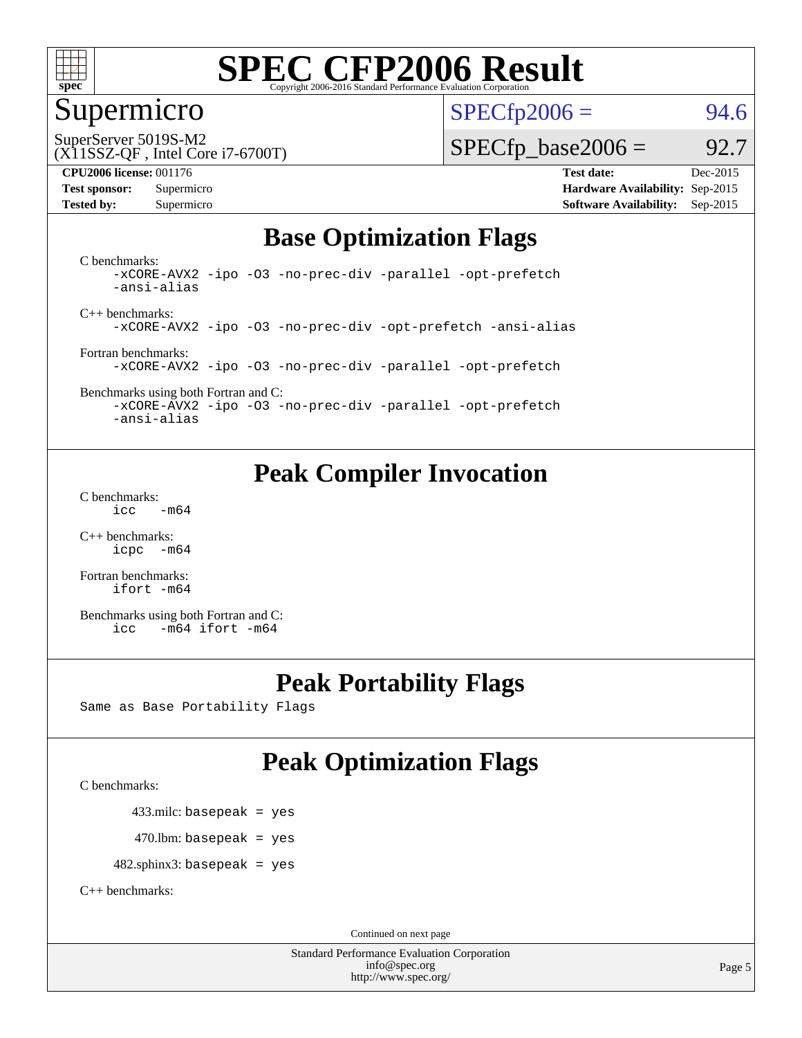

### Supermicro

 $SPECTp2006 = 94.6$ 

SuperServer 5019S-M2

#### (X11SSZ-QF , Intel Core i7-6700T)

**[CPU2006 license:](http://www.spec.org/auto/cpu2006/Docs/result-fields.html#CPU2006license)** 001176 **[Test date:](http://www.spec.org/auto/cpu2006/Docs/result-fields.html#Testdate)** Dec-2015

**[Test sponsor:](http://www.spec.org/auto/cpu2006/Docs/result-fields.html#Testsponsor)** Supermicro **[Hardware Availability:](http://www.spec.org/auto/cpu2006/Docs/result-fields.html#HardwareAvailability)** Sep-2015 **[Tested by:](http://www.spec.org/auto/cpu2006/Docs/result-fields.html#Testedby)** Supermicro **Supermicro [Software Availability:](http://www.spec.org/auto/cpu2006/Docs/result-fields.html#SoftwareAvailability)** Sep-2015

 $SPECTp\_base2006 = 92.7$ 

### **[Base Optimization Flags](http://www.spec.org/auto/cpu2006/Docs/result-fields.html#BaseOptimizationFlags)**

[C benchmarks](http://www.spec.org/auto/cpu2006/Docs/result-fields.html#Cbenchmarks): [-xCORE-AVX2](http://www.spec.org/cpu2006/results/res2016q1/cpu2006-20151217-38462.flags.html#user_CCbase_f-xAVX2_5f5fc0cbe2c9f62c816d3e45806c70d7) [-ipo](http://www.spec.org/cpu2006/results/res2016q1/cpu2006-20151217-38462.flags.html#user_CCbase_f-ipo) [-O3](http://www.spec.org/cpu2006/results/res2016q1/cpu2006-20151217-38462.flags.html#user_CCbase_f-O3) [-no-prec-div](http://www.spec.org/cpu2006/results/res2016q1/cpu2006-20151217-38462.flags.html#user_CCbase_f-no-prec-div) [-parallel](http://www.spec.org/cpu2006/results/res2016q1/cpu2006-20151217-38462.flags.html#user_CCbase_f-parallel) [-opt-prefetch](http://www.spec.org/cpu2006/results/res2016q1/cpu2006-20151217-38462.flags.html#user_CCbase_f-opt-prefetch) [-ansi-alias](http://www.spec.org/cpu2006/results/res2016q1/cpu2006-20151217-38462.flags.html#user_CCbase_f-ansi-alias)

[C++ benchmarks:](http://www.spec.org/auto/cpu2006/Docs/result-fields.html#CXXbenchmarks) [-xCORE-AVX2](http://www.spec.org/cpu2006/results/res2016q1/cpu2006-20151217-38462.flags.html#user_CXXbase_f-xAVX2_5f5fc0cbe2c9f62c816d3e45806c70d7) [-ipo](http://www.spec.org/cpu2006/results/res2016q1/cpu2006-20151217-38462.flags.html#user_CXXbase_f-ipo) [-O3](http://www.spec.org/cpu2006/results/res2016q1/cpu2006-20151217-38462.flags.html#user_CXXbase_f-O3) [-no-prec-div](http://www.spec.org/cpu2006/results/res2016q1/cpu2006-20151217-38462.flags.html#user_CXXbase_f-no-prec-div) [-opt-prefetch](http://www.spec.org/cpu2006/results/res2016q1/cpu2006-20151217-38462.flags.html#user_CXXbase_f-opt-prefetch) [-ansi-alias](http://www.spec.org/cpu2006/results/res2016q1/cpu2006-20151217-38462.flags.html#user_CXXbase_f-ansi-alias)

[Fortran benchmarks](http://www.spec.org/auto/cpu2006/Docs/result-fields.html#Fortranbenchmarks): [-xCORE-AVX2](http://www.spec.org/cpu2006/results/res2016q1/cpu2006-20151217-38462.flags.html#user_FCbase_f-xAVX2_5f5fc0cbe2c9f62c816d3e45806c70d7) [-ipo](http://www.spec.org/cpu2006/results/res2016q1/cpu2006-20151217-38462.flags.html#user_FCbase_f-ipo) [-O3](http://www.spec.org/cpu2006/results/res2016q1/cpu2006-20151217-38462.flags.html#user_FCbase_f-O3) [-no-prec-div](http://www.spec.org/cpu2006/results/res2016q1/cpu2006-20151217-38462.flags.html#user_FCbase_f-no-prec-div) [-parallel](http://www.spec.org/cpu2006/results/res2016q1/cpu2006-20151217-38462.flags.html#user_FCbase_f-parallel) [-opt-prefetch](http://www.spec.org/cpu2006/results/res2016q1/cpu2006-20151217-38462.flags.html#user_FCbase_f-opt-prefetch)

[Benchmarks using both Fortran and C](http://www.spec.org/auto/cpu2006/Docs/result-fields.html#BenchmarksusingbothFortranandC): [-xCORE-AVX2](http://www.spec.org/cpu2006/results/res2016q1/cpu2006-20151217-38462.flags.html#user_CC_FCbase_f-xAVX2_5f5fc0cbe2c9f62c816d3e45806c70d7) [-ipo](http://www.spec.org/cpu2006/results/res2016q1/cpu2006-20151217-38462.flags.html#user_CC_FCbase_f-ipo) [-O3](http://www.spec.org/cpu2006/results/res2016q1/cpu2006-20151217-38462.flags.html#user_CC_FCbase_f-O3) [-no-prec-div](http://www.spec.org/cpu2006/results/res2016q1/cpu2006-20151217-38462.flags.html#user_CC_FCbase_f-no-prec-div) [-parallel](http://www.spec.org/cpu2006/results/res2016q1/cpu2006-20151217-38462.flags.html#user_CC_FCbase_f-parallel) [-opt-prefetch](http://www.spec.org/cpu2006/results/res2016q1/cpu2006-20151217-38462.flags.html#user_CC_FCbase_f-opt-prefetch)

[-ansi-alias](http://www.spec.org/cpu2006/results/res2016q1/cpu2006-20151217-38462.flags.html#user_CC_FCbase_f-ansi-alias)

### **[Peak Compiler Invocation](http://www.spec.org/auto/cpu2006/Docs/result-fields.html#PeakCompilerInvocation)**

[C benchmarks](http://www.spec.org/auto/cpu2006/Docs/result-fields.html#Cbenchmarks):  $\text{icc}$   $-\text{m64}$ 

[C++ benchmarks:](http://www.spec.org/auto/cpu2006/Docs/result-fields.html#CXXbenchmarks) [icpc -m64](http://www.spec.org/cpu2006/results/res2016q1/cpu2006-20151217-38462.flags.html#user_CXXpeak_intel_icpc_64bit_bedb90c1146cab66620883ef4f41a67e)

[Fortran benchmarks](http://www.spec.org/auto/cpu2006/Docs/result-fields.html#Fortranbenchmarks): [ifort -m64](http://www.spec.org/cpu2006/results/res2016q1/cpu2006-20151217-38462.flags.html#user_FCpeak_intel_ifort_64bit_ee9d0fb25645d0210d97eb0527dcc06e)

[Benchmarks using both Fortran and C](http://www.spec.org/auto/cpu2006/Docs/result-fields.html#BenchmarksusingbothFortranandC): [icc -m64](http://www.spec.org/cpu2006/results/res2016q1/cpu2006-20151217-38462.flags.html#user_CC_FCpeak_intel_icc_64bit_0b7121f5ab7cfabee23d88897260401c) [ifort -m64](http://www.spec.org/cpu2006/results/res2016q1/cpu2006-20151217-38462.flags.html#user_CC_FCpeak_intel_ifort_64bit_ee9d0fb25645d0210d97eb0527dcc06e)

#### **[Peak Portability Flags](http://www.spec.org/auto/cpu2006/Docs/result-fields.html#PeakPortabilityFlags)**

Same as Base Portability Flags

### **[Peak Optimization Flags](http://www.spec.org/auto/cpu2006/Docs/result-fields.html#PeakOptimizationFlags)**

[C benchmarks](http://www.spec.org/auto/cpu2006/Docs/result-fields.html#Cbenchmarks):

433.milc: basepeak = yes

 $470.$ lbm: basepeak = yes

482.sphinx3: basepeak = yes

[C++ benchmarks:](http://www.spec.org/auto/cpu2006/Docs/result-fields.html#CXXbenchmarks)

Continued on next page

Standard Performance Evaluation Corporation [info@spec.org](mailto:info@spec.org) <http://www.spec.org/>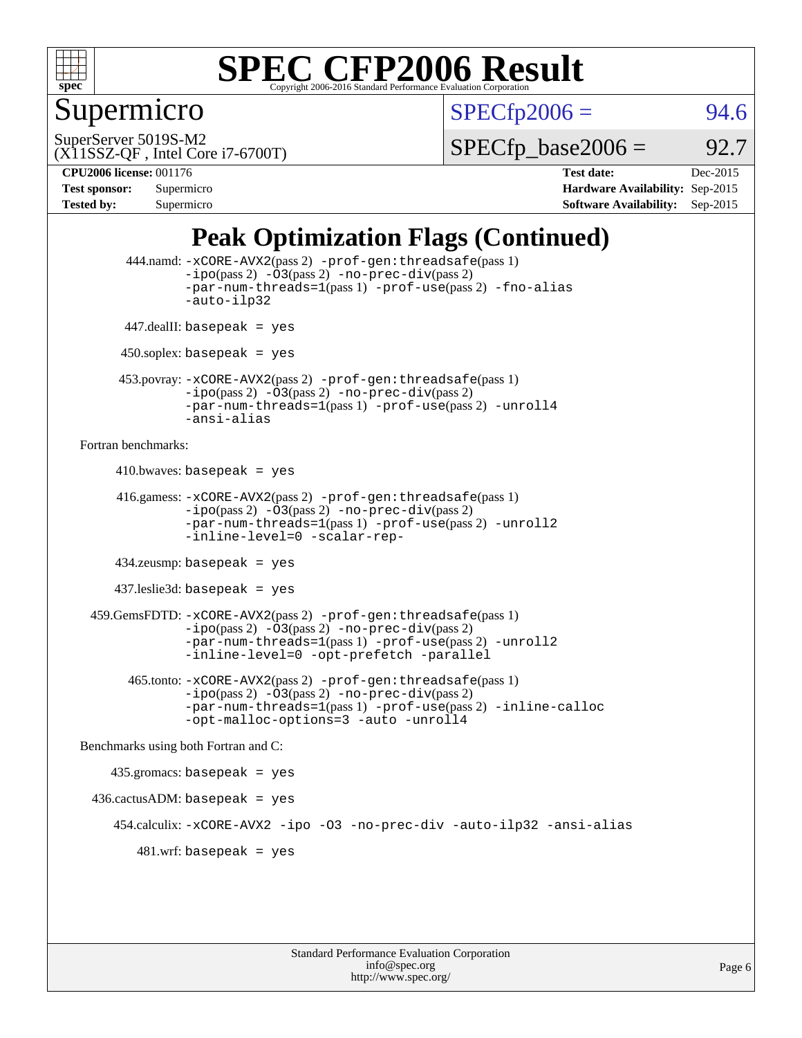

### Supermicro

 $SPECTp2006 = 94.6$ 

SuperServer 5019S-M2

 $SPECTp\_base2006 = 92.7$ 

#### (X11SSZ-QF , Intel Core i7-6700T)

**[CPU2006 license:](http://www.spec.org/auto/cpu2006/Docs/result-fields.html#CPU2006license)** 001176 **[Test date:](http://www.spec.org/auto/cpu2006/Docs/result-fields.html#Testdate)** Dec-2015 **[Test sponsor:](http://www.spec.org/auto/cpu2006/Docs/result-fields.html#Testsponsor)** Supermicro **[Hardware Availability:](http://www.spec.org/auto/cpu2006/Docs/result-fields.html#HardwareAvailability)** Sep-2015 **[Tested by:](http://www.spec.org/auto/cpu2006/Docs/result-fields.html#Testedby)** Supermicro **Supermicro [Software Availability:](http://www.spec.org/auto/cpu2006/Docs/result-fields.html#SoftwareAvailability)** Sep-2015

### **[Peak Optimization Flags \(Continued\)](http://www.spec.org/auto/cpu2006/Docs/result-fields.html#PeakOptimizationFlags)**

```
 444.namd: -xCORE-AVX2(pass 2) -prof-gen:threadsafe(pass 1)
               -ipo(pass 2) -03(pass 2) -no-prec-div(pass 2)
               -par-num-threads=1(pass 1) -prof-use(pass 2) -fno-alias
               -auto-ilp32
      447.dealII: basepeak = yes
      450.soplex: basepeak = yes
      453.povray: -xCORE-AVX2(pass 2) -prof-gen:threadsafe(pass 1)
               -no-prec-div(pass 2)-par-num-threads=1(pass 1) -prof-use(pass 2) -unroll4
               -ansi-alias
Fortran benchmarks: 
     410.bwaves: basepeak = yes 416.gamess: -xCORE-AVX2(pass 2) -prof-gen:threadsafe(pass 1)
               -ipo(pass 2) -03(pass 2) -no-prec-div(pass 2)-par-num-threads=1(pass 1) -prof-use(pass 2) -unroll2
               -inline-level=0 -scalar-rep-
      434.zeusmp: basepeak = yes
     437.leslie3d: basepeak = yes
  459.GemsFDTD: -xCORE-AVX2(pass 2) -prof-gen:threadsafe(pass 1)
               -i\text{po}(pass 2) -\tilde{O}3(pass 2)-no-prec-div(pass 2)
               -par-num-threads=1(pass 1) -prof-use(pass 2) -unroll2
               -inline-level=0 -opt-prefetch -parallel
        465.tonto: -xCORE-AVX2(pass 2) -prof-gen:threadsafe(pass 1)
               -no-prec-div(pass 2)-par-num-threads=1(pass 1) -prof-use(pass 2) -inline-calloc
               -opt-malloc-options=3 -auto -unroll4
Benchmarks using both Fortran and C: 
     435.gromacs: basepeak = yes
 436.cactusADM:basepeak = yes 454.calculix: -xCORE-AVX2 -ipo -O3 -no-prec-div -auto-ilp32 -ansi-alias
        481 \text{.m}: basepeak = yes
```